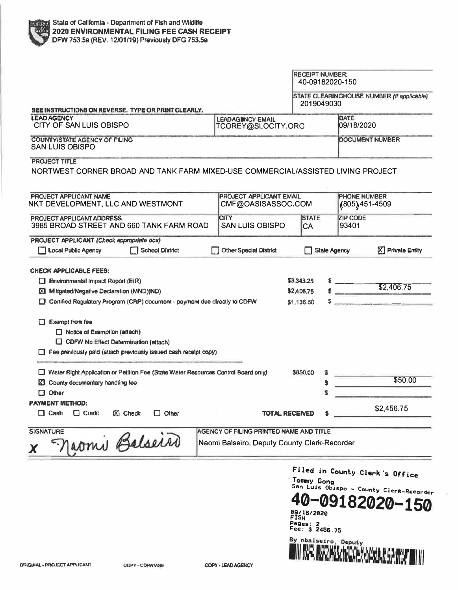|                                                                                                                                                                                                                                                                                       |                                                                                         | <b>RECEIPT NUMBER:</b><br>40-09182020-150 |                     |                                       |                                            |
|---------------------------------------------------------------------------------------------------------------------------------------------------------------------------------------------------------------------------------------------------------------------------------------|-----------------------------------------------------------------------------------------|-------------------------------------------|---------------------|---------------------------------------|--------------------------------------------|
|                                                                                                                                                                                                                                                                                       |                                                                                         | 2019049030                                |                     |                                       | STATE CLEARINGHOUSE NUMBER (If applicable) |
| SEE INSTRUCTIONS ON REVERSE. TYPE OR PRINT CLEARLY.<br><b>LEAD AGENCY</b><br><b>LEADAGINCY EMAIL</b><br>CITY OF SAN LUIS OBISPO<br>TCOREY@SLOCITY.ORG                                                                                                                                 |                                                                                         |                                           |                     | DATE<br>09/18/2020                    |                                            |
| COUNTY/STATE AGENCY OF FILING<br><b>SAN LUIS OBISPO</b>                                                                                                                                                                                                                               |                                                                                         |                                           |                     |                                       | DOCUMENT NUMBER                            |
| <b>PROJECT TITLE</b><br>NORTWEST CORNER BROAD AND TANK FARM MIXED-USE COMMERCIAL/ASSISTED LIVING PROJECT                                                                                                                                                                              |                                                                                         |                                           |                     |                                       |                                            |
| <b>PROJECT APPLICANT NAME</b><br>NKT DEVELOPMENT, LLC AND WESTMONT                                                                                                                                                                                                                    | <b>PROJECT APPLICANT EMAIL</b><br>CMF@OASISASSOC.COM                                    |                                           |                     | <b>PHONE NUMBER</b><br>(805) 451-4509 |                                            |
| <b>PROJECT APPLICANT ADDRESS</b><br>3985 BROAD STREET AND 660 TANK FARM ROAD                                                                                                                                                                                                          | <b>CITY</b><br><b>SAN LUIS OBISPO</b>                                                   | <b>STATE</b><br>CA                        |                     | <b>ZIP CODE</b><br>93401              |                                            |
| PROJECT APPLICANT (Check appropriate box)<br><b>Local Public Agency</b><br><b>School District</b>                                                                                                                                                                                     | <b>Other Special District</b>                                                           |                                           | <b>State Agency</b> |                                       | $[\nabla]$ Private Entity                  |
| E.                                                                                                                                                                                                                                                                                    |                                                                                         |                                           |                     |                                       |                                            |
| Exempt from fee<br>Motice of Examption (attach)<br>CDFW No Effect Determination (attach)<br>Fee previously paid (attach previously issued cash receipt copy)<br>Water Right Application or Petition Fee (State Water Resources Control Board only)<br>County documentary handling fee |                                                                                         | <b>SA50.00</b>                            | S<br>\$             |                                       | \$50.00                                    |
| Other<br>0<br><b>PAYMENT METHOD:</b><br>$\Box$ Cash<br>$\Box$ Credit<br>$[X]$ Check<br>$\Box$ Other                                                                                                                                                                                   |                                                                                         | TOTAL RECEIVED                            | S                   |                                       | \$2,456.75                                 |
| <b>SIGNATURE</b><br>Jaomi Balseiro                                                                                                                                                                                                                                                    | AGENCY OF FILING PRINTED NAME AND TITLE<br>Naomi Balseiro, Deputy County Clerk-Recorder |                                           |                     |                                       |                                            |